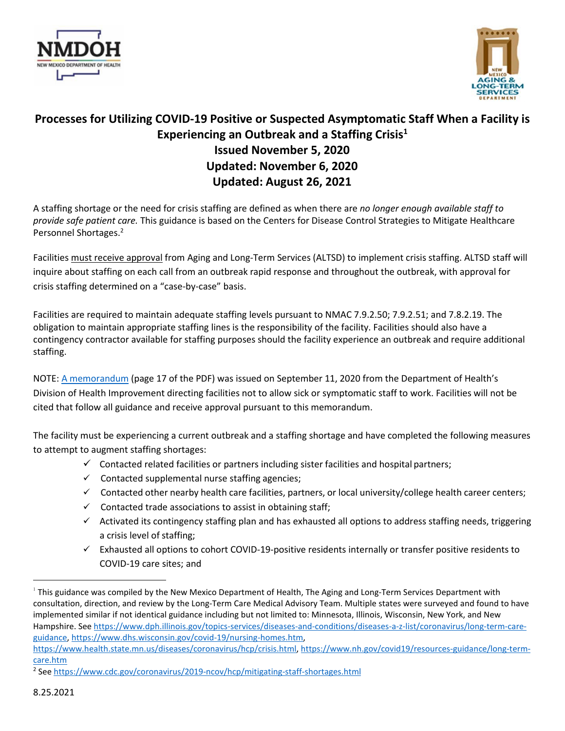



# **Processes for Utilizing COVID-19 Positive or Suspected Asymptomatic Staff When a Facility is Experiencing an Outbreak and a Staffing Crisis1 Issued November 5, 2020 Updated: November 6, 2020 Updated: August 26, 2021**

A staffing shortage or the need for crisis staffing are defined as when there are *no longer enough available staff to provide safe patient care.* This guidance is based on the Centers for Disease Control Strategies to Mitigate Healthcare Personnel Shortages.2

Facilities must receive approval from Aging and Long-Term Services (ALTSD) to implement crisis staffing. ALTSD staff will inquire about staffing on each call from an outbreak rapid response and throughout the outbreak, with approval for crisis staffing determined on a "case-by-case" basis.

Facilities are required to maintain adequate staffing levels pursuant to NMAC 7.9.2.50; 7.9.2.51; and 7.8.2.19. The obligation to maintain appropriate staffing lines is the responsibility of the facility. Facilities should also have a contingency contractor available for staffing purposes should the facility experience an outbreak and require additional staffing.

NOTE: A memorandum (page 17 of the PDF) was issued on September 11, 2020 from the Department of Health's Division of Health Improvement directing facilities not to allow sick or symptomatic staff to work. Facilities will not be cited that follow all guidance and receive approval pursuant to this memorandum.

The facility must be experiencing a current outbreak and a staffing shortage and have completed the following measures to attempt to augment staffing shortages:

- $\checkmark$  Contacted related facilities or partners including sister facilities and hospital partners;
- $\checkmark$  Contacted supplemental nurse staffing agencies;
- $\checkmark$  Contacted other nearby health care facilities, partners, or local university/college health career centers;
- $\checkmark$  Contacted trade associations to assist in obtaining staff;
- $\checkmark$  Activated its contingency staffing plan and has exhausted all options to address staffing needs, triggering a crisis level of staffing;
- $\checkmark$  Exhausted all options to cohort COVID-19-positive residents internally or transfer positive residents to COVID-19 care sites; and

 $1$  This guidance was compiled by the New Mexico Department of Health, The Aging and Long-Term Services Department with consultation, direction, and review by the Long-Term Care Medical Advisory Team. Multiple states were surveyed and found to have implemented similar if not identical guidance including but not limited to: Minnesota, Illinois, Wisconsin, New York, and New Hampshire. See https://www.dph.illinois.gov/topics-services/diseases-and-conditions/diseases-a-z-list/coronavirus/long-term-careguidance, https://www.dhs.wisconsin.gov/covid-19/nursing-homes.htm,

https://www.health.state.mn.us/diseases/coronavirus/hcp/crisis.html, https://www.nh.gov/covid19/resources-guidance/long-termcare.htm

<sup>2</sup> See https://www.cdc.gov/coronavirus/2019-ncov/hcp/mitigating-staff-shortages.html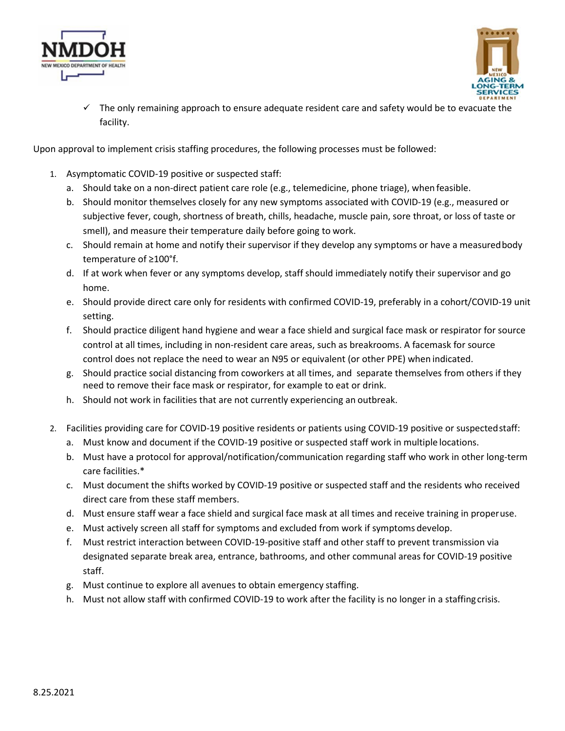



 $\checkmark$  The only remaining approach to ensure adequate resident care and safety would be to evacuate the facility.

Upon approval to implement crisis staffing procedures, the following processes must be followed:

- 1. Asymptomatic COVID-19 positive or suspected staff:
	- a. Should take on a non-direct patient care role (e.g., telemedicine, phone triage), when feasible.
	- b. Should monitor themselves closely for any new symptoms associated with COVID-19 (e.g., measured or subjective fever, cough, shortness of breath, chills, headache, muscle pain, sore throat, or loss of taste or smell), and measure their temperature daily before going to work.
	- c. Should remain at home and notify their supervisor if they develop any symptoms or have a measuredbody temperature of ≥100°f.
	- d. If at work when fever or any symptoms develop, staff should immediately notify their supervisor and go home.
	- e. Should provide direct care only for residents with confirmed COVID-19, preferably in a cohort/COVID-19 unit setting.
	- f. Should practice diligent hand hygiene and wear a face shield and surgical face mask or respirator for source control at all times, including in non-resident care areas, such as breakrooms. A facemask for source control does not replace the need to wear an N95 or equivalent (or other PPE) when indicated.
	- g. Should practice social distancing from coworkers at all times, and separate themselves from others if they need to remove their face mask or respirator, for example to eat or drink.
	- h. Should not work in facilities that are not currently experiencing an outbreak.
- 2. Facilities providing care for COVID-19 positive residents or patients using COVID-19 positive or suspectedstaff:
	- a. Must know and document if the COVID-19 positive or suspected staff work in multiple locations.
	- b. Must have a protocol for approval/notification/communication regarding staff who work in other long-term care facilities.\*
	- c. Must document the shifts worked by COVID-19 positive or suspected staff and the residents who received direct care from these staff members.
	- d. Must ensure staff wear a face shield and surgical face mask at all times and receive training in properuse.
	- e. Must actively screen all staff for symptoms and excluded from work if symptoms develop.
	- f. Must restrict interaction between COVID-19-positive staff and other staff to prevent transmission via designated separate break area, entrance, bathrooms, and other communal areas for COVID-19 positive staff.
	- g. Must continue to explore all avenues to obtain emergency staffing.
	- h. Must not allow staff with confirmed COVID-19 to work after the facility is no longer in a staffingcrisis.